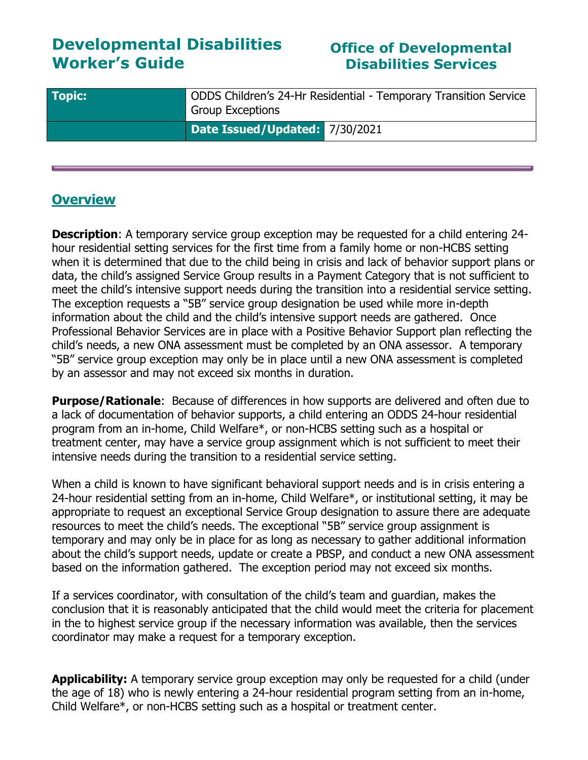# **Developmental Disabilities Worker's Guide**

## **Office of Developmental Disabilities Services**

| <b>Topic:</b> | ODDS Children's 24-Hr Residential - Temporary Transition Service<br><b>Group Exceptions</b> |
|---------------|---------------------------------------------------------------------------------------------|
|               | Date Issued/Updated: 7/30/2021                                                              |

#### **Overview**

**Description:** A temporary service group exception may be requested for a child entering 24hour residential setting services for the first time from a family home or non-HCBS setting when it is determined that due to the child being in crisis and lack of behavior support plans or data, the child's assigned Service Group results in a Payment Category that is not sufficient to meet the child's intensive support needs during the transition into a residential service setting. The exception requests a "5B" service group designation be used while more in-depth information about the child and the child's intensive support needs are gathered. Once Professional Behavior Services are in place with a Positive Behavior Support plan reflecting the child's needs, a new ONA assessment must be completed by an ONA assessor. A temporary "5B" service group exception may only be in place until a new ONA assessment is completed by an assessor and may not exceed six months in duration.

**Purpose/Rationale**: Because of differences in how supports are delivered and often due to a lack of documentation of behavior supports, a child entering an ODDS 24-hour residential program from an in-home, Child Welfare\*, or non-HCBS setting such as a hospital or treatment center, may have a service group assignment which is not sufficient to meet their intensive needs during the transition to a residential service setting.

When a child is known to have significant behavioral support needs and is in crisis entering a 24-hour residential setting from an in-home, Child Welfare\*, or institutional setting, it may be appropriate to request an exceptional Service Group designation to assure there are adequate resources to meet the child's needs. The exceptional "5B" service group assignment is temporary and may only be in place for as long as necessary to gather additional information about the child's support needs, update or create a PBSP, and conduct a new ONA assessment based on the information gathered. The exception period may not exceed six months.

If a services coordinator, with consultation of the child's team and guardian, makes the conclusion that it is reasonably anticipated that the child would meet the criteria for placement in the to highest service group if the necessary information was available, then the services coordinator may make a request for a temporary exception.

**Applicability:** A temporary service group exception may only be requested for a child (under the age of 18) who is newly entering a 24-hour residential program setting from an in-home, Child Welfare\*, or non-HCBS setting such as a hospital or treatment center.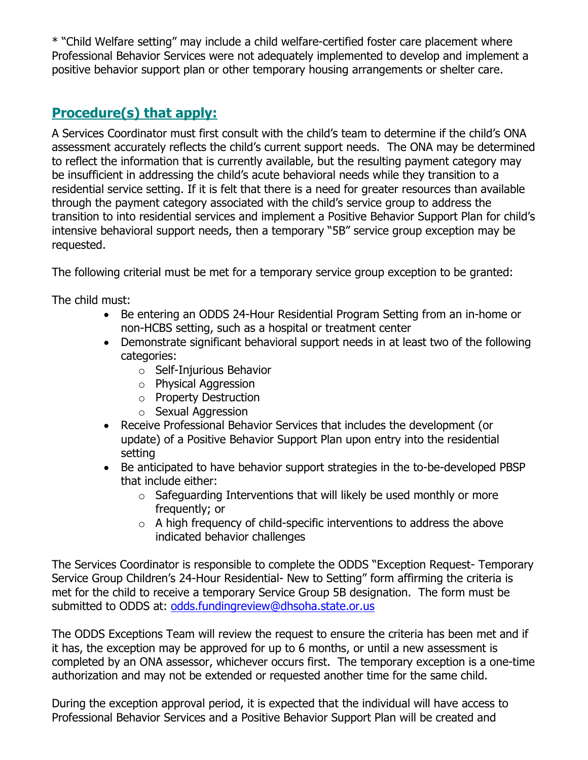\* "Child Welfare setting" may include a child welfare-certified foster care placement where Professional Behavior Services were not adequately implemented to develop and implement a positive behavior support plan or other temporary housing arrangements or shelter care.

# **Procedure(s) that apply:**

A Services Coordinator must first consult with the child's team to determine if the child's ONA assessment accurately reflects the child's current support needs. The ONA may be determined to reflect the information that is currently available, but the resulting payment category may be insufficient in addressing the child's acute behavioral needs while they transition to a residential service setting. If it is felt that there is a need for greater resources than available through the payment category associated with the child's service group to address the transition to into residential services and implement a Positive Behavior Support Plan for child's intensive behavioral support needs, then a temporary "5B" service group exception may be requested.

The following criterial must be met for a temporary service group exception to be granted:

The child must:

- Be entering an ODDS 24-Hour Residential Program Setting from an in-home or non-HCBS setting, such as a hospital or treatment center
- Demonstrate significant behavioral support needs in at least two of the following categories:
	- o Self-Injurious Behavior
	- o Physical Aggression
	- o Property Destruction
	- o Sexual Aggression
- Receive Professional Behavior Services that includes the development (or update) of a Positive Behavior Support Plan upon entry into the residential setting
- Be anticipated to have behavior support strategies in the to-be-developed PBSP that include either:
	- $\circ$  Safeguarding Interventions that will likely be used monthly or more frequently; or
	- $\circ$  A high frequency of child-specific interventions to address the above indicated behavior challenges

The Services Coordinator is responsible to complete the ODDS "Exception Request- Temporary Service Group Children's 24-Hour Residential- New to Setting" form affirming the criteria is met for the child to receive a temporary Service Group 5B designation. The form must be submitted to ODDS at: [odds.fundingreview@dhsoha.state.or.us](mailto:odds.fundingreview@dhsoha.state.or.us)

The ODDS Exceptions Team will review the request to ensure the criteria has been met and if it has, the exception may be approved for up to 6 months, or until a new assessment is completed by an ONA assessor, whichever occurs first. The temporary exception is a one-time authorization and may not be extended or requested another time for the same child.

During the exception approval period, it is expected that the individual will have access to Professional Behavior Services and a Positive Behavior Support Plan will be created and